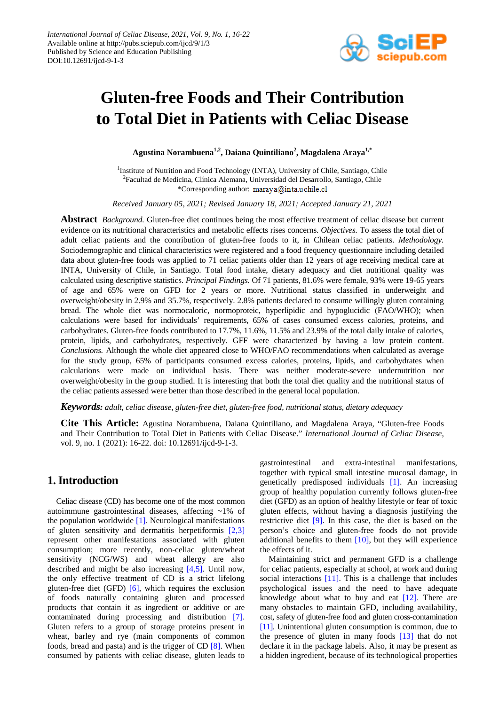

# **Gluten-free Foods and Their Contribution to Total Diet in Patients with Celiac Disease**

**Agustina Norambuena1,2, Daiana Quintiliano2 , Magdalena Araya1,\***

<sup>1</sup>Institute of Nutrition and Food Technology (INTA), University of Chile, Santiago, Chile <sup>2</sup>Facultad de Medicina, Clínica Alemana, Universidad del Desarrollo, Santiago, Chile \*Corresponding author: maraya@inta.uchile.cl

*Received January 05, 2021; Revised January 18, 2021; Accepted January 21, 2021*

**Abstract** *Background.* Gluten-free diet continues being the most effective treatment of celiac disease but current evidence on its nutritional characteristics and metabolic effects rises concerns. *Objectives.* To assess the total diet of adult celiac patients and the contribution of gluten-free foods to it, in Chilean celiac patients. *Methodology.*  Sociodemographic and clinical characteristics were registered and a food frequency questionnaire including detailed data about gluten-free foods was applied to 71 celiac patients older than 12 years of age receiving medical care at INTA, University of Chile, in Santiago. Total food intake, dietary adequacy and diet nutritional quality was calculated using descriptive statistics. *Principal Findings.* Of 71 patients, 81.6% were female, 93% were 19-65 years of age and 65% were on GFD for 2 years or more. Nutritional status classified in underweight and overweight/obesity in 2.9% and 35.7%, respectively. 2.8% patients declared to consume willingly gluten containing bread. The whole diet was normocaloric, normoproteic, hyperlipidic and hypoglucidic (FAO/WHO); when calculations were based for individuals' requirements, 65% of cases consumed excess calories, proteins, and carbohydrates. Gluten-free foods contributed to 17.7%, 11.6%, 11.5% and 23.9% of the total daily intake of calories, protein, lipids, and carbohydrates, respectively. GFF were characterized by having a low protein content. *Conclusions.* Although the whole diet appeared close to WHO/FAO recommendations when calculated as average for the study group, 65% of participants consumed excess calories, proteins, lipids, and carbohydrates when calculations were made on individual basis. There was neither moderate-severe undernutrition nor overweight/obesity in the group studied. It is interesting that both the total diet quality and the nutritional status of the celiac patients assessed were better than those described in the general local population.

*Keywords: adult, celiac disease, gluten-free diet, gluten-free food, nutritional status, dietary adequacy*

**Cite This Article:** Agustina Norambuena, Daiana Quintiliano, and Magdalena Araya, "Gluten-free Foods and Their Contribution to Total Diet in Patients with Celiac Disease." *International Journal of Celiac Disease*, vol. 9, no. 1 (2021): 16-22. doi: 10.12691/ijcd-9-1-3.

# **1. Introduction**

Celiac disease (CD) has become one of the most common autoimmune gastrointestinal diseases, affecting ~1% of the population worldwide  $[1]$ . Neurological manifestations of gluten sensitivity and dermatitis herpetiformis [\[2,3\]](#page-5-1) represent other manifestations associated with gluten consumption; more recently, non-celiac gluten/wheat sensitivity (NCG/WS) and wheat allergy are also described and might be also increasing [\[4,5\].](#page-5-2) Until now, the only effective treatment of CD is a strict lifelong gluten-free diet (GFD) [\[6\],](#page-5-3) which requires the exclusion of foods naturally containing gluten and processed products that contain it as ingredient or additive or are contaminated during processing and distribution [\[7\].](#page-5-4) Gluten refers to a group of storage proteins present in wheat, barley and rye (main components of common foods, bread and pasta) and is the trigger of CD [\[8\].](#page-5-5) When consumed by patients with celiac disease, gluten leads to

gastrointestinal and extra-intestinal manifestations, together with typical small intestine mucosal damage, in genetically predisposed individuals [\[1\].](#page-5-0) An increasing group of healthy population currently follows gluten-free diet (GFD) as an option of healthy lifestyle or fear of toxic gluten effects, without having a diagnosis justifying the restrictive diet [\[9\].](#page-5-6) In this case, the diet is based on the person's choice and gluten-free foods do not provide additional benefits to them  $[10]$ , but they will experience the effects of it.

Maintaining strict and permanent GFD is a challenge for celiac patients, especially at school, at work and during social interactions [\[11\].](#page-5-8) This is a challenge that includes psychological issues and the need to have adequate knowledge about what to buy and eat [\[12\].](#page-5-9) There are many obstacles to maintain GFD, including availability, cost, safety of gluten-free food and gluten cross-contamination [\[11\].](#page-5-8) Unintentional gluten consumption is common, due to the presence of gluten in many foods [\[13\]](#page-5-10) that do not declare it in the package labels. Also, it may be present as a hidden ingredient, because of its technological properties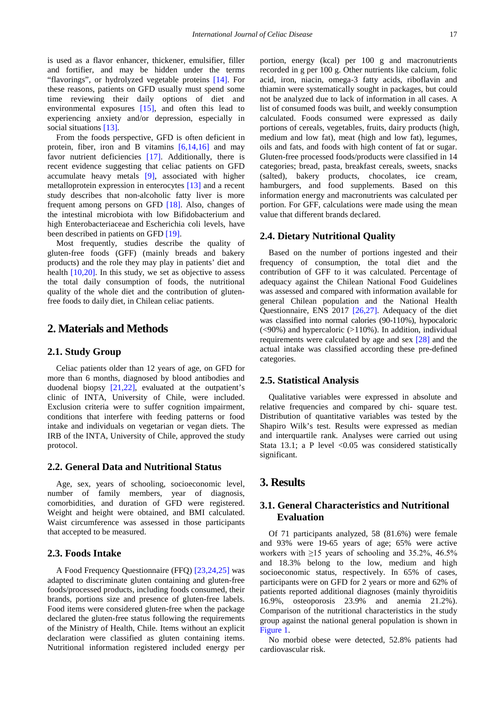is used as a flavor enhancer, thickener, emulsifier, filler and fortifier, and may be hidden under the terms "flavorings", or hydrolyzed vegetable proteins [\[14\].](#page-5-11) For these reasons, patients on GFD usually must spend some time reviewing their daily options of diet and environmental exposures [\[15\],](#page-5-12) and often this lead to experiencing anxiety and/or depression, especially in social situations [\[13\].](#page-5-10)

From the foods perspective, GFD is often deficient in protein, fiber, iron and B vitamins  $[6,14,16]$  and may favor nutrient deficiencies [\[17\].](#page-5-13) Additionally, there is recent evidence suggesting that celiac patients on GFD accumulate heavy metals [\[9\],](#page-5-6) associated with higher metalloprotein expression in enterocytes [\[13\]](#page-5-10) and a recent study describes that non-alcoholic fatty liver is more frequent among persons on GFD [\[18\].](#page-5-14) Also, changes of the intestinal microbiota with low Bifidobacterium and high Enterobacteriaceae and Escherichia coli levels, have been described in patients on GFD [\[19\].](#page-5-15)

Most frequently, studies describe the quality of gluten-free foods (GFF) (mainly breads and bakery products) and the role they may play in patients' diet and health [\[10,20\].](#page-5-7) In this study, we set as objective to assess the total daily consumption of foods, the nutritional quality of the whole diet and the contribution of glutenfree foods to daily diet, in Chilean celiac patients.

## **2. Materials and Methods**

#### **2.1. Study Group**

Celiac patients older than 12 years of age, on GFD for more than 6 months, diagnosed by blood antibodies and duodenal biopsy [\[21,22\],](#page-5-16) evaluated at the outpatient's clinic of INTA, University of Chile, were included. Exclusion criteria were to suffer cognition impairment, conditions that interfere with feeding patterns or food intake and individuals on vegetarian or vegan diets. The IRB of the INTA, University of Chile, approved the study protocol.

#### **2.2. General Data and Nutritional Status**

Age, sex, years of schooling, socioeconomic level, number of family members, year of diagnosis, comorbidities, and duration of GFD were registered. Weight and height were obtained, and BMI calculated. Waist circumference was assessed in those participants that accepted to be measured.

## **2.3. Foods Intake**

A Food Frequency Questionnaire (FFQ) [\[23,24,25\]](#page-5-17) was adapted to discriminate gluten containing and gluten-free foods/processed products, including foods consumed, their brands, portions size and presence of gluten-free labels. Food items were considered gluten-free when the package declared the gluten-free status following the requirements of the Ministry of Health, Chile. Items without an explicit declaration were classified as gluten containing items. Nutritional information registered included energy per

portion, energy (kcal) per 100 g and macronutrients recorded in g per 100 g. Other nutrients like calcium, folic acid, iron, niacin, omega-3 fatty acids, riboflavin and thiamin were systematically sought in packages, but could not be analyzed due to lack of information in all cases. A list of consumed foods was built, and weekly consumption calculated. Foods consumed were expressed as daily portions of cereals, vegetables, fruits, dairy products (high, medium and low fat), meat (high and low fat), legumes, oils and fats, and foods with high content of fat or sugar. Gluten-free processed foods/products were classified in 14 categories; bread, pasta, breakfast cereals, sweets, snacks (salted), bakery products, chocolates, ice cream, hamburgers, and food supplements. Based on this information energy and macronutrients was calculated per portion. For GFF, calculations were made using the mean value that different brands declared.

#### **2.4. Dietary Nutritional Quality**

Based on the number of portions ingested and their frequency of consumption, the total diet and the contribution of GFF to it was calculated. Percentage of adequacy against the Chilean National Food Guidelines was assessed and compared with information available for general Chilean population and the National Health Questionnaire, ENS 2017 [\[26,27\].](#page-5-18) Adequacy of the diet was classified into normal calories (90-110%), hypocaloric (<90%) and hypercaloric (>110%). In addition, individual requirements were calculated by age and sex [\[28\]](#page-5-19) and the actual intake was classified according these pre-defined categories.

#### **2.5. Statistical Analysis**

Qualitative variables were expressed in absolute and relative frequencies and compared by chi- square test. Distribution of quantitative variables was tested by the Shapiro Wilk's test. Results were expressed as median and interquartile rank. Analyses were carried out using Stata 13.1; a P level  $\langle 0.05 \rangle$  was considered statistically significant.

## **3. Results**

## **3.1. General Characteristics and Nutritional Evaluation**

Of 71 participants analyzed, 58 (81.6%) were female and 93% were 19-65 years of age; 65% were active workers with  $\geq$ 15 years of schooling and 35.2%, 46.5% and 18.3% belong to the low, medium and high socioeconomic status, respectively. In 65% of cases, participants were on GFD for 2 years or more and 62% of patients reported additional diagnoses (mainly thyroiditis 16.9%, osteoporosis 23.9% and anemia 21.2%). Comparison of the nutritional characteristics in the study group against the national general population is shown in [Figure 1.](#page-2-0)

No morbid obese were detected, 52.8% patients had cardiovascular risk.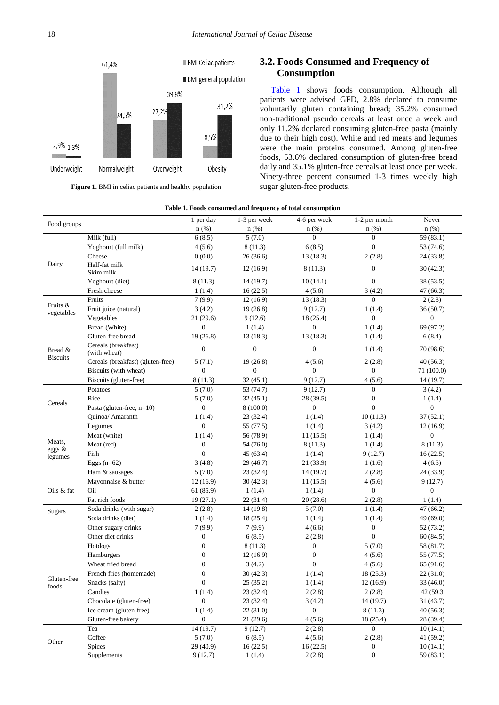<span id="page-2-0"></span>

**Figure 1.** BMI in celiac patients and healthy population

# **3.2. Foods Consumed and Frequency of Consumption**

[Table 1](#page-2-1) shows foods consumption. Although all patients were advised GFD, 2.8% declared to consume voluntarily gluten containing bread; 35.2% consumed non-traditional pseudo cereals at least once a week and only 11.2% declared consuming gluten-free pasta (mainly due to their high cost). White and red meats and legumes were the main proteins consumed. Among gluten-free foods, 53.6% declared consumption of gluten-free bread daily and 35.1% gluten-free cereals at least once per week. Ninety-three percent consumed 1-3 times weekly high sugar gluten-free products.

#### **Table 1. Foods consumed and frequency of total consumption**

<span id="page-2-1"></span>

| Food groups            |                                     | 1 per day        | 1-3 per week     | 4-6 per week     | 1-2 per month       | Never            |
|------------------------|-------------------------------------|------------------|------------------|------------------|---------------------|------------------|
|                        |                                     | $n$ (%)          | $n$ (%)          | $n$ (%)          | $n$ $(\%)$          | $n$ (%)          |
|                        | Milk (full)                         | 6(8.5)           | 5(7.0)           | $\Omega$         | $\Omega$            | 59 (83.1)        |
|                        | Yoghourt (full milk)                | 4(5.6)           | 8(11.3)          | 6(8.5)           | $\boldsymbol{0}$    | 53 (74.6)        |
|                        | Cheese                              | 0(0.0)           | 26(36.6)         | 13(18.3)         | 2(2.8)              | 24 (33.8)        |
| Dairy                  | Half-fat milk<br>Skim milk          | 14(19.7)         | 12(16.9)         | 8(11.3)          | $\boldsymbol{0}$    | 30(42.3)         |
|                        | Yoghourt (diet)                     | 8(11.3)          | 14 (19.7)        | 10(14.1)         | $\overline{0}$      | 38 (53.5)        |
|                        | Fresh cheese                        | 1(1.4)           | 16(22.5)         | 4(5.6)           | 3(4.2)              | 47(66.3)         |
|                        | Fruits                              | 7(9.9)           | 12(16.9)         | 13(18.3)         | $\overline{0}$      | 2(2.8)           |
| Fruits &<br>vegetables | Fruit juice (natural)               | 3(4.2)           | 19(26.8)         | 9(12.7)          | 1(1.4)              | 36(50.7)         |
|                        | Vegetables                          | 21(29.6)         | 9(12.6)          | 18 (25.4)        | $\theta$            | $\boldsymbol{0}$ |
|                        | Bread (White)                       | $\overline{0}$   | 1(1.4)           | $\overline{0}$   | 1(1.4)              | 69 (97.2)        |
|                        | Gluten-free bread                   | 19(26.8)         | 13(18.3)         | 13(18.3)         | 1(1.4)              | 6(8.4)           |
| Bread &                | Cereals (breakfast)<br>(with wheat) | $\boldsymbol{0}$ | $\boldsymbol{0}$ | $\boldsymbol{0}$ | 1(1.4)              | 70 (98.6)        |
| <b>Biscuits</b>        | Cereals (breakfast) (gluten-free)   | 5(7.1)           | 19(26.8)         | 4(5.6)           | 2(2.8)              | 40(56.3)         |
|                        | Biscuits (with wheat)               | $\mathbf{0}$     | $\boldsymbol{0}$ | $\mathbf{0}$     | $\mathbf{0}$        | 71 (100.0)       |
|                        | Biscuits (gluten-free)              | 8(11.3)          | 32(45.1)         | 9(12.7)          | 4(5.6)              | 14(19.7)         |
|                        | Potatoes                            | 5(7.0)           | 53 (74.7)        | 9(12.7)          | $\Omega$            | 3(4.2)           |
|                        | Rice                                | 5(7.0)           | 32(45.1)         | 28 (39.5)        | $\boldsymbol{0}$    | 1(1.4)           |
| Cereals                | Pasta (gluten-free, $n=10$ )        | $\boldsymbol{0}$ | 8(100.0)         | $\boldsymbol{0}$ | $\mathbf{0}$        | $\boldsymbol{0}$ |
|                        | Quinoa/ Amaranth                    | 1(1.4)           | 23 (32.4)        | 1(1.4)           | 10(11.3)            | 37(52.1)         |
|                        | Legumes                             | $\boldsymbol{0}$ | 55 (77.5)        | 1(1.4)           | 3(4.2)              | 12(16.9)         |
|                        | Meat (white)                        | 1(1.4)           | 56 (78.9)        | 11(15.5)         | 1(1.4)              | $\boldsymbol{0}$ |
| Meats,                 | Meat (red)                          | $\mathbf{0}$     | 54 (76.0)        | 8(11.3)          | 1(1.4)              | 8(11.3)          |
| eggs &                 | Fish                                | $\boldsymbol{0}$ | 45 (63.4)        | 1(1.4)           | 9(12.7)             | 16(22.5)         |
| legumes                | Eggs $(n=62)$                       | 3(4.8)           | 29(46.7)         | 21 (33.9)        | 1(1.6)              | 4(6.5)           |
|                        | Ham & sausages                      | 5(7.0)           | 23 (32.4)        | 14(19.7)         | 2(2.8)              | 24 (33.9)        |
|                        | Mayonnaise & butter                 | 12(16.9)         | 30(42.3)         | 11(15.5)         | 4(5.6)              | 9(12.7)          |
| Oils & fat             | Oil                                 | 61 (85.9)        | 1(1.4)           | 1(1.4)           | $\mathbf{0}$        | $\mathbf{0}$     |
|                        | Fat rich foods                      | 19(27.1)         | 22 (31.4)        | 20(28.6)         | 2(2.8)              | 1(1.4)           |
| <b>Sugars</b>          | Soda drinks (with sugar)            | 2(2.8)           | 14(19.8)         | 5(7.0)           | 1(1.4)              | 47 (66.2)        |
|                        | Soda drinks (diet)                  | 1(1.4)           | 18 (25.4)        | 1(1.4)           | 1(1.4)              | 49 (69.0)        |
|                        | Other sugary drinks                 | 7(9.9)           | 7(9.9)           | 4(6.6)           | $\boldsymbol{0}$    | 52 (73.2)        |
|                        | Other diet drinks                   | $\boldsymbol{0}$ | 6(8.5)           | 2(2.8)           | $\mathbf{0}$        | 60(84.5)         |
|                        | Hotdogs                             | $\boldsymbol{0}$ | 8(11.3)          | $\mathbf{0}$     | $\overline{5(7.0)}$ | 58 (81.7)        |
| Gluten-free<br>foods   | Hamburgers                          | $\boldsymbol{0}$ | 12(16.9)         | $\boldsymbol{0}$ | 4(5.6)              | 55 (77.5)        |
|                        | Wheat fried bread                   | $\boldsymbol{0}$ | 3(4.2)           | $\boldsymbol{0}$ | 4(5.6)              | 65(91.6)         |
|                        | French fries (homemade)             | $\boldsymbol{0}$ | 30(42.3)         | 1(1.4)           | 18(25.3)            | 22(31.0)         |
|                        | Snacks (salty)                      | $\boldsymbol{0}$ | 25(35.2)         | 1(1.4)           | 12(16.9)            | 33 (46.0)        |
|                        | Candies                             | 1(1.4)           | 23 (32.4)        | 2(2.8)           | 2(2.8)              | 42 (59.3         |
|                        | Chocolate (gluten-free)             | $\boldsymbol{0}$ | 23 (32.4)        | 3(4.2)           | 14(19.7)            | 31(43.7)         |
|                        | Ice cream (gluten-free)             | 1(1.4)           | 22(31.0)         | $\boldsymbol{0}$ | 8(11.3)             | 40(56.3)         |
|                        | Gluten-free bakery                  | $\boldsymbol{0}$ | 21(29.6)         | 4(5.6)           | 18 (25.4)           | 28 (39.4)        |
|                        | Tea                                 | 14 (19.7)        | 9(12.7)          | 2(2.8)           | $\overline{0}$      | 10(14.1)         |
|                        | Coffee                              | 5(7.0)           | 6(8.5)           | 4(5.6)           | 2(2.8)              | 41 (59.2)        |
| Other                  | Spices                              | 29 (40.9)        | 16(22.5)         | 16(22.5)         | $\boldsymbol{0}$    | 10(14.1)         |
|                        | Supplements                         | 9(12.7)          | 1(1.4)           | 2(2.8)           | $\boldsymbol{0}$    | 59 (83.1)        |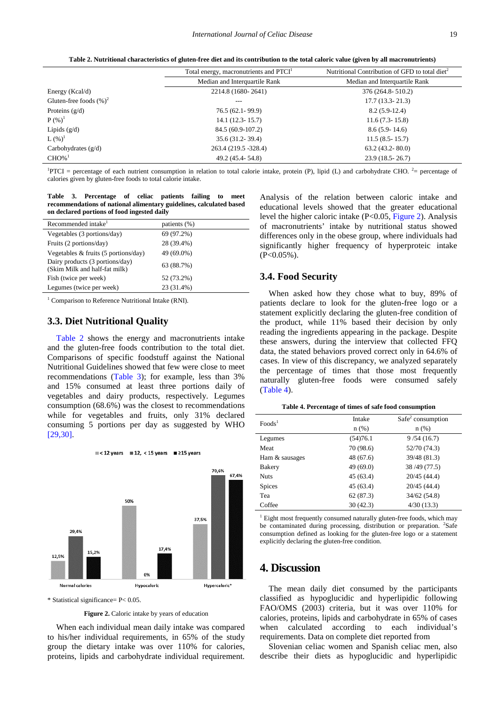**Table 2. Nutritional characteristics of gluten-free diet and its contribution to the total caloric value (given by all macronutrients)**

<span id="page-3-0"></span>

|                            | Total energy, macronutrients and PTCI <sup>1</sup> | Nutritional Contribution of GFD to total diet <sup>2</sup> |  |  |
|----------------------------|----------------------------------------------------|------------------------------------------------------------|--|--|
|                            | Median and Interquartile Rank                      | Median and Interquartile Rank                              |  |  |
| Energy ( $Kcal/d$ )        | 2214.8 (1680-2641)                                 | 376 (264.8-510.2)                                          |  |  |
| Gluten-free foods $(\%)^2$ | ---                                                | $17.7(13.3 - 21.3)$                                        |  |  |
| Proteins $(g/d)$           | $76.5(62.1-99.9)$                                  | $8.2(5.9-12.4)$                                            |  |  |
| $P({\%})^1$                | $14.1(12.3 - 15.7)$                                | $11.6(7.3-15.8)$                                           |  |  |
| Lipids $(g/d)$             | 84.5 (60.9-107.2)                                  | $8.6(5.9-14.6)$                                            |  |  |
| $L({\%})^1$                | $35.6(31.2-39.4)$                                  | $11.5(8.5-15.7)$                                           |  |  |
| Carbohydrates $(g/d)$      | 263.4 (219.5 -328.4)                               | $63.2(43.2-80.0)$                                          |  |  |
| $CHO%$ <sup>1</sup>        | 49.2 (45.4-54.8)                                   | $23.9(18.5 - 26.7)$                                        |  |  |

<sup>1</sup>PTCI = percentage of each nutrient consumption in relation to total calorie intake, protein (P), lipid (L) and carbohydrate CHO. <sup>2</sup>= percentage of calories given by gluten-free foods to total calorie intake.

|                                                                     |  | Table 3. Percentage of celiac patients failing to meet |  |  |  |  |  |  |
|---------------------------------------------------------------------|--|--------------------------------------------------------|--|--|--|--|--|--|
| recommendations of national alimentary guidelines, calculated based |  |                                                        |  |  |  |  |  |  |
| on declared portions of food ingested daily                         |  |                                                        |  |  |  |  |  |  |

<span id="page-3-1"></span>

| Recommended intake <sup>1</sup>                                  | patients (%) |
|------------------------------------------------------------------|--------------|
| Vegetables (3 portions/day)                                      | 69 (97.2%)   |
| Fruits (2 portions/day)                                          | 28 (39.4%)   |
| Vegetables $&$ fruits (5 portions/day)                           | 49 (69.0%)   |
| Dairy products (3 portions/day)<br>(Skim Milk and half-fat milk) | 63 (88.7%)   |
| Fish (twice per week)                                            | 52 (73.2%)   |
| Legumes (twice per week)                                         | 23 (31.4%)   |

<sup>1</sup> Comparison to Reference Nutritional Intake (RNI).

#### **3.3. Diet Nutritional Quality**

[Table 2](#page-3-0) shows the energy and macronutrients intake and the gluten-free foods contribution to the total diet. Comparisons of specific foodstuff against the National Nutritional Guidelines showed that few were close to meet recommendations [\(Table 3\)](#page-3-1); for example, less than 3% and 15% consumed at least three portions daily of vegetables and dairy products, respectively. Legumes consumption (68.6%) was the closest to recommendations while for vegetables and fruits, only 31% declared consuming 5 portions per day as suggested by WHO [\[29,30\].](#page-5-20)

<span id="page-3-2"></span>

\* Statistical significance= P< 0.05.

**Figure 2.** Caloric intake by years of education

When each individual mean daily intake was compared to his/her individual requirements, in 65% of the study group the dietary intake was over 110% for calories, proteins, lipids and carbohydrate individual requirement. Analysis of the relation between caloric intake and educational levels showed that the greater educational level the higher caloric intake  $(P<0.05$ [, Figure 2\)](#page-3-2). Analysis of macronutrients' intake by nutritional status showed differences only in the obese group, where individuals had significantly higher frequency of hyperproteic intake  $(P<0.05\%)$ .

### **3.4. Food Security**

When asked how they chose what to buy, 89% of patients declare to look for the gluten-free logo or a statement explicitly declaring the gluten-free condition of the product, while 11% based their decision by only reading the ingredients appearing in the package. Despite these answers, during the interview that collected FFQ data, the stated behaviors proved correct only in 64.6% of cases. In view of this discrepancy, we analyzed separately the percentage of times that those most frequently naturally gluten-free foods were consumed safely [\(Table 4\)](#page-3-3).

|  |  |  | Table 4. Percentage of times of safe food consumption |
|--|--|--|-------------------------------------------------------|
|  |  |  |                                                       |

<span id="page-3-3"></span>

| Food <sub>s</sub> <sup>1</sup> | Intake    | $Safe^2$ consumption |
|--------------------------------|-----------|----------------------|
|                                | $n$ (%)   | n(%)                 |
| Legumes                        | (54)76.1  | 9/54(16.7)           |
| Meat                           | 70 (98.6) | 52/70 (74.3)         |
| Ham & sausages                 | 48 (67.6) | 39/48 (81.3)         |
| <b>Bakery</b>                  | 49 (69.0) | 38/49 (77.5)         |
| <b>Nuts</b>                    | 45 (63.4) | 20/45 (44.4)         |
| <b>Spices</b>                  | 45 (63.4) | 20/45 (44.4)         |
| Tea                            | 62(87.3)  | 34/62(54.8)          |
| Coffee                         | 30(42.3)  | 4/30(13.3)           |

<sup>1</sup> Eight most frequently consumed naturally gluten-free foods, which may be contaminated during processing, distribution or preparation. <sup>2</sup>Safe consumption defined as looking for the gluten-free logo or a statement explicitly declaring the gluten-free condition.

## **4. Discussion**

The mean daily diet consumed by the participants classified as hypoglucidic and hyperlipidic following FAO/OMS (2003) criteria, but it was over 110% for calories, proteins, lipids and carbohydrate in 65% of cases when calculated according to each individual's requirements. Data on complete diet reported from

Slovenian celiac women and Spanish celiac men, also describe their diets as hypoglucidic and hyperlipidic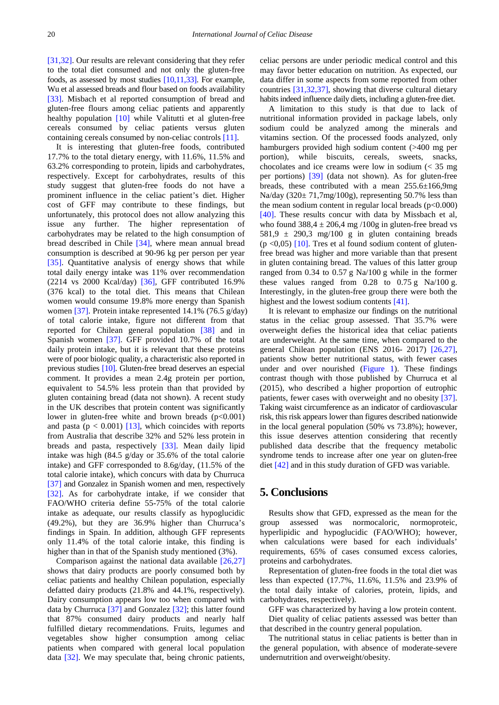[\[31,32\].](#page-5-21) Our results are relevant considering that they refer to the total diet consumed and not only the gluten-free foods, as assessed by most studies [\[10,11,33\].](#page-5-7) For example, Wu et al assessed breads and flour based on foods availability [\[33\].](#page-5-22) Misbach et al reported consumption of bread and gluten-free flours among celiac patients and apparently healthy population [\[10\]](#page-5-7) while Valitutti et al gluten-free cereals consumed by celiac patients versus gluten containing cereals consumed by non-celiac controls [\[11\].](#page-5-8)

It is interesting that gluten-free foods, contributed 17.7% to the total dietary energy, with 11.6%, 11.5% and 63.2% corresponding to protein, lipids and carbohydrates, respectively. Except for carbohydrates, results of this study suggest that gluten-free foods do not have a prominent influence in the celiac patient's diet. Higher cost of GFF may contribute to these findings, but unfortunately, this protocol does not allow analyzing this issue any further. The higher representation of carbohydrates may be related to the high consumption of bread described in Chile [\[34\],](#page-5-23) where mean annual bread consumption is described at 90-96 kg per person per year [\[35\].](#page-5-24) Quantitative analysis of energy shows that while total daily energy intake was 11% over recommendation (2214 vs 2000 Kcal/day) [\[36\],](#page-5-25) GFF contributed 16.9% (376 kcal) to the total diet. This means that Chilean women would consume 19.8% more energy than Spanish women [\[37\].](#page-6-0) Protein intake represented 14.1% (76.5 g/day) of total calorie intake, figure not different from that reported for Chilean general population [\[38\]](#page-6-1) and in Spanish women [\[37\].](#page-6-0) GFF provided 10.7% of the total daily protein intake, but it is relevant that these proteins were of poor biologic quality, a characteristic also reported in previous studies [\[10\].](#page-5-7) Gluten-free bread deserves an especial comment. It provides a mean 2.4g protein per portion, equivalent to 54.5% less protein than that provided by gluten containing bread (data not shown). A recent study in the UK describes that protein content was significantly lower in gluten-free white and brown breads  $(p<0.001)$ and pasta ( $p < 0.001$ ) [\[13\],](#page-5-10) which coincides with reports from Australia that describe 32% and 52% less protein in breads and pasta, respectively [\[33\].](#page-5-22) Mean daily lipid intake was high (84.5 g/day or 35.6% of the total calorie intake) and GFF corresponded to 8.6g/day, (11.5% of the total calorie intake), which concurs with data by Churruca [\[37\]](#page-6-0) and Gonzalez in Spanish women and men, respectively [\[32\].](#page-5-26) As for carbohydrate intake, if we consider that FAO/WHO criteria define 55-75% of the total calorie intake as adequate, our results classify as hypoglucidic (49.2%), but they are 36.9% higher than Churruca's findings in Spain. In addition, although GFF represents only 11.4% of the total calorie intake, this finding is higher than in that of the Spanish study mentioned (3%).

Comparison against the national data available [\[26,27\]](#page-5-18) shows that dairy products are poorly consumed both by celiac patients and healthy Chilean population, especially defatted dairy products (21.8% and 44.1%, respectively). Dairy consumption appears low too when compared with data by Churruca [\[37\]](#page-6-0) and Gonzalez [\[32\];](#page-5-26) this latter found that 87% consumed dairy products and nearly half fulfilled dietary recommendations. Fruits, legumes and vegetables show higher consumption among celiac patients when compared with general local population data [\[32\].](#page-5-26) We may speculate that, being chronic patients,

celiac persons are under periodic medical control and this may favor better education on nutrition. As expected, our data differ in some aspects from some reported from other countries [\[31,32,37\],](#page-5-21) showing that diverse cultural dietary habits indeed influence daily diets, including a gluten-free diet.

A limitation to this study is that due to lack of nutritional information provided in package labels, only sodium could be analyzed among the minerals and vitamins section. Of the processed foods analyzed, only hamburgers provided high sodium content (>400 mg per portion), while biscuits, cereals, sweets, snacks, chocolates and ice creams were low in sodium (< 35 mg per portions) [\[39\]](#page-6-2) (data not shown). As for gluten-free breads, these contributed with a mean 255.6±166,9mg Na/day  $(320 \pm 71,7 \text{mg}/100 \text{g})$ , representing 50.7% less than the mean sodium content in regular local breads (p<0.000) [\[40\].](#page-6-3) These results concur with data by Missbach et al, who found  $388,4 \pm 206,4$  mg /100g in gluten-free bread vs 581,9  $\pm$  290,3 mg/100 g in gluten containing breads ( $p \le 0.05$ ) [\[10\].](#page-5-7) Tres et al found sodium content of glutenfree bread was higher and more variable than that present in gluten containing bread. The values of this latter group ranged from 0.34 to 0.57 g Na/100 g while in the former these values ranged from  $0.28$  to  $0.75$  g Na/100 g. Interestingly, in the gluten-free group there were both the highest and the lowest sodium content[s \[41\].](#page-6-4)

It is relevant to emphasize our findings on the nutritional status in the celiac group assessed. That 35.7% were overweight defies the historical idea that celiac patients are underweight. At the same time, when compared to the general Chilean population (ENS 2016- 2017) [\[26,27\],](#page-5-18) patients show better nutritional status, with fewer cases under and over nourished [\(Figure 1\)](#page-2-0). These findings contrast though with those published by Churruca et al (2015), who described a higher proportion of eutrophic patients, fewer cases with overweight and no obesity [\[37\].](#page-6-0) Taking waist circumference as an indicator of cardiovascular risk, this risk appears lower than figures described nationwide in the local general population (50% vs 73.8%); however, this issue deserves attention considering that recently published data describe that the frequency metabolic syndrome tends to increase after one year on gluten-free die[t \[42\]](#page-6-5) and in this study duration of GFD was variable.

# **5. Conclusions**

Results show that GFD, expressed as the mean for the group assessed was normocaloric, normoproteic, hyperlipidic and hypoglucidic (FAO/WHO); however, when calculations were based for each individuals' requirements, 65% of cases consumed excess calories, proteins and carbohydrates.

Representation of gluten-free foods in the total diet was less than expected (17.7%, 11.6%, 11.5% and 23.9% of the total daily intake of calories, protein, lipids, and carbohydrates, respectively).

GFF was characterized by having a low protein content. Diet quality of celiac patients assessed was better than that described in the country general population.

The nutritional status in celiac patients is better than in the general population, with absence of moderate-severe undernutrition and overweight/obesity.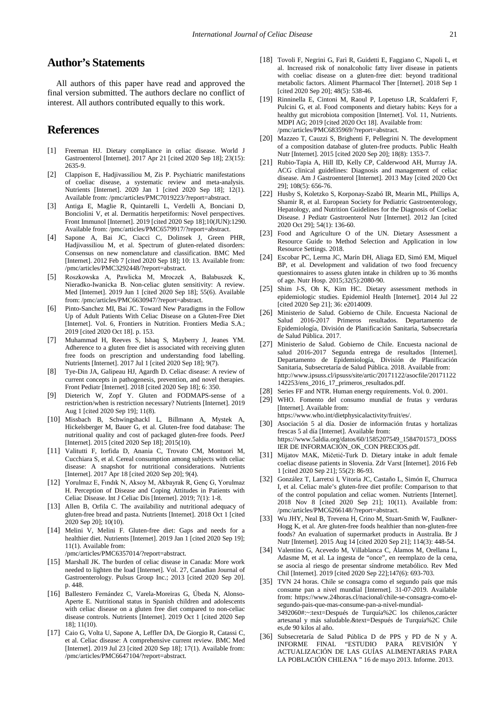# **Author's Statements**

All authors of this paper have read and approved the final version submitted. The authors declare no conflict of interest. All authors contributed equally to this work.

## **References**

- <span id="page-5-0"></span>[1] Freeman HJ. Dietary compliance in celiac disease. World J Gastroenterol [Internet]. 2017 Apr 21 [cited 2020 Sep 18]; 23(15): 2635-9.
- <span id="page-5-1"></span>[2] Clappison E, Hadjivassiliou M, Zis P. Psychiatric manifestations of coeliac disease, a systematic review and meta-analysis. Nutrients [Internet]. 2020 Jan 1 [cited 2020 Sep 18]; 12(1). Available from: /pmc/articles/PMC7019223/?report=abstract.
- [3] Antiga E, Maglie R, Quintarelli L, Verdelli A, Bonciani D, Bonciolini V, et al. Dermatitis herpetiformis: Novel perspectives. Front Immunol [Internet]. 2019 [cited 2020 Sep 18];10(JUN):1290. Available from: /pmc/articles/PMC6579917/?report=abstract.
- <span id="page-5-2"></span>[4] Sapone A, Bai JC, Ciacci C, Dolinsek J, Green PHR, Hadjivassiliou M, et al. Spectrum of gluten-related disorders: Consensus on new nomenclature and classification. BMC Med [Internet]. 2012 Feb 7 [cited 2020 Sep 18]; 10: 13. Available from: /pmc/articles/PMC3292448/?report=abstract.
- [5] Roszkowska A, Pawlicka M, Mroczek A, Bałabuszek K, Nieradko-Iwanicka B. Non-celiac gluten sensitivity: A review. Med [Internet]. 2019 Jun 1 [cited 2020 Sep 18]; 55(6). Available from: /pmc/articles/PMC6630947/?report=abstract.
- <span id="page-5-3"></span>[6] Pinto-Sanchez MI, Bai JC. Toward New Paradigms in the Follow Up of Adult Patients With Celiac Disease on a Gluten-Free Diet [Internet]. Vol. 6, Frontiers in Nutrition. Frontiers Media S.A.; 2019 [cited 2020 Oct 18]. p. 153.
- <span id="page-5-4"></span>[7] Muhammad H, Reeves S, Ishaq S, Mayberry J, Jeanes YM. Adherence to a gluten free diet is associated with receiving gluten free foods on prescription and understanding food labelling. Nutrients [Internet]. 2017 Jul 1 [cited 2020 Sep 18]; 9(7).
- <span id="page-5-5"></span>[8] Tye-Din JA, Galipeau HJ, Agardh D. Celiac disease: A review of current concepts in pathogenesis, prevention, and novel therapies. Front Pediatr [Internet]. 2018 [cited 2020 Sep 18]; 6: 350.
- <span id="page-5-6"></span>[9] Dieterich W, Zopf Y. Gluten and FODMAPS-sense of a restriction/when is restriction necessary? Nutrients [Internet]. 2019 Aug 1 [cited 2020 Sep 19]; 11(8).
- <span id="page-5-7"></span>[10] Missbach B, Schwingshackl L, Billmann A, Mystek A, Hickelsberger M, Bauer G, et al. Gluten-free food database: The nutritional quality and cost of packaged gluten-free foods. PeerJ [Internet]. 2015 [cited 2020 Sep 18]; 2015(10).
- <span id="page-5-8"></span>[11] Valitutti F, Iorfida D, Anania C, Trovato CM, Montuori M, Cucchiara S, et al. Cereal consumption among subjects with celiac disease: A snapshot for nutritional considerations. Nutrients [Internet]. 2017 Apr 18 [cited 2020 Sep 20]; 9(4).
- <span id="page-5-9"></span>[12] Yorulmaz E, Fındık N, Aksoy M, Akbayrak R, Genç G, Yorulmaz H. Perception of Disease and Coping Attitudes in Patients with Celiac Disease. Int J Celiac Dis [Internet]. 2019; 7(1): 1-8.
- <span id="page-5-10"></span>[13] Allen B, Orfila C. The availability and nutritional adequacy of gluten-free bread and pasta. Nutrients [Internet]. 2018 Oct 1 [cited 2020 Sep 20]; 10(10).
- <span id="page-5-11"></span>[14] Melini V, Melini F. Gluten-free diet: Gaps and needs for a healthier diet. Nutrients [Internet]. 2019 Jan 1 [cited 2020 Sep 19]; 11(1). Available from: /pmc/articles/PMC6357014/?report=abstract.
- <span id="page-5-12"></span>[15] Marshall JK. The burden of celiac disease in Canada: More work needed to lighten the load [Internet]. Vol. 27, Canadian Journal of Gastroenterology. Pulsus Group Inc.; 2013 [cited 2020 Sep 20]. p. 448.
- [16] Ballestero Fernández C, Varela-Moreiras G, Úbeda N, Alonso-Aperte E. Nutritional status in Spanish children and adolescents with celiac disease on a gluten free diet compared to non-celiac disease controls. Nutrients [Internet]. 2019 Oct 1 [cited 2020 Sep 18]; 11(10).
- <span id="page-5-13"></span>[17] Caio G, Volta U, Sapone A, Leffler DA, De Giorgio R, Catassi C, et al. Celiac disease: A comprehensive current review. BMC Med [Internet]. 2019 Jul 23 [cited 2020 Sep 18]; 17(1). Available from: /pmc/articles/PMC6647104/?report=abstract.
- <span id="page-5-14"></span>[18] Tovoli F, Negrini G, Farì R, Guidetti E, Faggiano C, Napoli L, et al. Increased risk of nonalcoholic fatty liver disease in patients with coeliac disease on a gluten-free diet: beyond traditional metabolic factors. Aliment Pharmacol Ther [Internet]. 2018 Sep 1 [cited 2020 Sep 20]; 48(5): 538-46.
- <span id="page-5-15"></span>[19] Rinninella E, Cintoni M, Raoul P, Lopetuso LR, Scaldaferri F, Pulcini G, et al. Food components and dietary habits: Keys for a healthy gut microbiota composition [Internet]. Vol. 11, Nutrients. MDPI AG; 2019 [cited 2020 Oct 18]. Available from: /pmc/articles/PMC6835969/?report=abstract.
- [20] Mazzeo T, Cauzzi S, Brighenti F, Pellegrini N. The development of a composition database of gluten-free products. Public Health Nutr [Internet]. 2015 [cited 2020 Sep 20]; 18(8): 1353-7.
- <span id="page-5-16"></span>[21] Rubio-Tapia A, Hill ID, Kelly CP, Calderwood AH, Murray JA. ACG clinical guidelines: Diagnosis and management of celiac disease. Am J Gastroenterol [Internet]. 2013 May [cited 2020 Oct 29]; 108(5): 656-76.
- [22] Husby S, Koletzko S, Korponay-Szabó IR, Mearin ML, Phillips A, Shamir R, et al. European Society for Pediatric Gastroenterology, Hepatology, and Nutrition Guidelines for the Diagnosis of Coeliac Disease. J Pediatr Gastroenterol Nutr [Internet]. 2012 Jan [cited 2020 Oct 29]; 54(1): 136-60.
- <span id="page-5-17"></span>[23] Food and Agriculture O of the UN. Dietary Assessment a Resource Guide to Method Selection and Application in low Resource Settings. 2018.
- [24] Escobar PC, Lerma JC, Marín DH, Aliaga ED, Simó EM, Miquel BP, et al. Development and validation of two food frecuency questionnaires to assess gluten intake in children up to 36 months of age. Nutr Hosp. 2015;32(5):2080-90.
- [25] Shim J-S, Oh K, Kim HC. Dietary assessment methods in epidemiologic studies. Epidemiol Health [Internet]. 2014 Jul 22 [cited 2020 Sep 21]; 36: e2014009.
- <span id="page-5-18"></span>[26] Ministerio de Salud. Gobierno de Chile. Encuesta Nacional de Salud 2016-2017 Primeros resultados. Departamento de Epidemiología, División de Planificación Sanitaria, Subsecretaría de Salud Pública. 2017.
- [27] Ministerio de Salud. Gobierno de Chile. Encuesta nacional de salud 2016-2017 Segunda entrega de resultados [Internet]. Departamento de Epidemiología, División de Planificación Sanitaria, Subsecretaría de Salud Pública. 2018. Available from: http://www.ipsuss.cl/ipsuss/site/artic/20171122/asocfile/20171122 142253/ens\_2016\_17\_primeros\_resultados.pdf.
- <span id="page-5-19"></span>[28] Series FF and NTR. Human energy requirements. Vol. 0. 2001.
- <span id="page-5-20"></span>[29] WHO. Fomento del consumo mundial de frutas y verduras [Internet]. Available from:
	- https://www.who.int/dietphysicalactivity/fruit/es/.
- [30] Asociación 5 al día. Dosier de información frutas y hortalizas frescas 5 al día [Internet]. Available from: https://www.5aldia.org/datos/60/1585207549\_1584701573\_DOSS IER DE INFORMACIÓN\_OK\_CON PRECIOS.pdf.
- <span id="page-5-21"></span>[31] Mijatov MAK, Mičetić-Turk D. Dietary intake in adult female coeliac disease patients in Slovenia. Zdr Varst [Internet]. 2016 Feb 1 [cited 2020 Sep 21]; 55(2): 86-93.
- <span id="page-5-26"></span>[32] González T, Larretxi I, Vitoria JC, Castaño L, Simón E, Churruca I, et al. Celiac male's gluten-free diet profile: Comparison to that of the control population and celiac women. Nutrients [Internet]. 2018 Nov 8 [cited 2020 Sep 21]; 10(11). Available from: /pmc/articles/PMC6266148/?report=abstract.
- <span id="page-5-22"></span>[33] Wu JHY, Neal B, Trevena H, Crino M, Stuart-Smith W, Faulkner-Hogg K, et al. Are gluten-free foods healthier than non-gluten-free foods? An evaluation of supermarket products in Australia. Br J Nutr [Internet]. 2015 Aug 14 [cited 2020 Sep 21]; 114(3): 448-54.
- <span id="page-5-23"></span>[34] Valentino G, Acevedo M, Villablanca C, Álamos M, Orellana L, Adasme M, et al. La ingesta de "once", en reemplazo de la cena, se asocia al riesgo de presentar síndrome metabólico. Rev Med Chil [Internet]. 2019 [cited 2020 Sep 22];147(6): 693-703.
- <span id="page-5-24"></span>[35] TVN 24 horas. Chile se consagra como el segundo país que más consume pan a nivel mundial [Internet]. 31-07-2019. Available from: https://www.24horas.cl/nacional/chile-se-consagra-como-elsegundo-pais-que-mas-consume-pan-a-nivel-mundial-3492060#:~:text=Después de Turquía%2C los chilenos,carácter artesanal y más saludable.&text=Después de Turquía%2C Chile es,de 90 kilos al año.
- <span id="page-5-25"></span>[36] Subsecretaría de Salud Pública D de PPS y PD de N y A. INFORME FINAL "ESTUDIO PARA REVISIÓN Y ACTUALIZACIÓN DE LAS GUÍAS ALIMENTARIAS PARA LA POBLACIÓN CHILENA " 16 de mayo 2013. Informe. 2013.